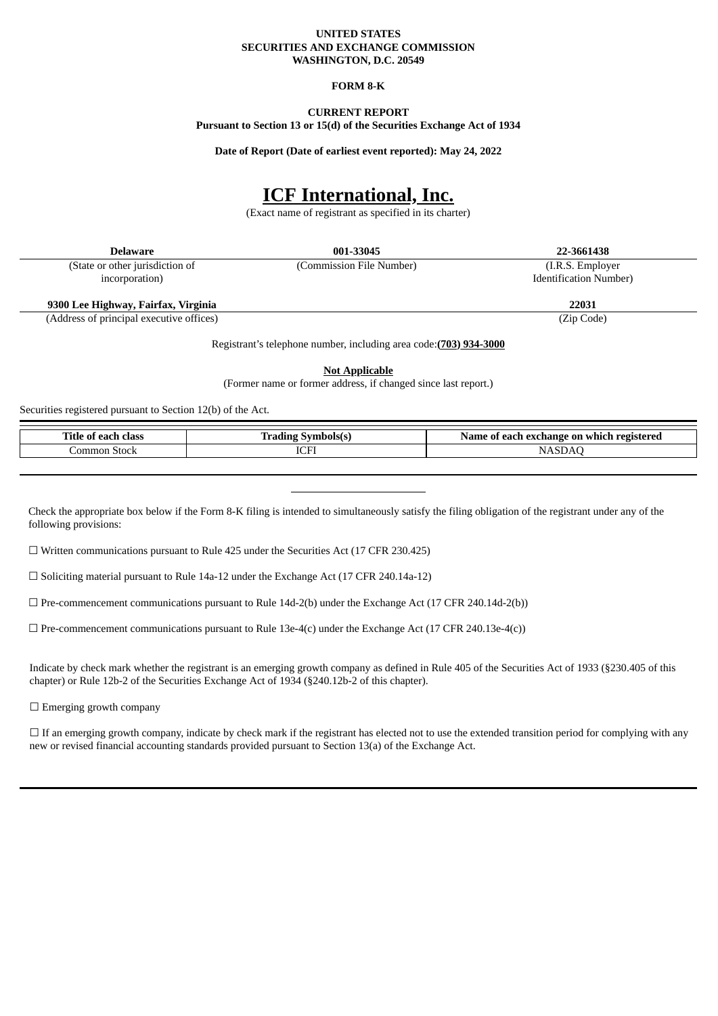#### **UNITED STATES SECURITIES AND EXCHANGE COMMISSION WASHINGTON, D.C. 20549**

## **FORM 8-K**

# **CURRENT REPORT**

**Pursuant to Section 13 or 15(d) of the Securities Exchange Act of 1934**

**Date of Report (Date of earliest event reported): May 24, 2022**

# **ICF International, Inc.**

(Exact name of registrant as specified in its charter)

| Delaware                                 | 001-33045                | 22-3661438                     |  |
|------------------------------------------|--------------------------|--------------------------------|--|
| (State or other jurisdiction of          | (Commission File Number) | (I.R.S. Employer)              |  |
| incorporation)                           |                          | <b>Identification Number</b> ) |  |
|                                          |                          |                                |  |
| 9300 Lee Highway, Fairfax, Virginia      |                          | 22031                          |  |
| (Address of principal executive offices) |                          | $(T_{in}$ $C_{odd}$            |  |

(Address of principal executive offices) (Zip Code)

Registrant's telephone number, including area code:**(703) 934-3000**

**Not Applicable**

(Former name or former address, if changed since last report.)

Securities registered pursuant to Section 12(b) of the Act.

| <b>STORY 200</b><br>11tle<br>class<br>0.0.01<br>$\sim$<br><br>. . | $\sim$<br><b>The Commission Property</b><br>.<br>$\sim$<br>TT Q. | registered<br>on<br>which<br>hange<br>Name<br>each.<br>$A \times B$<br> |
|-------------------------------------------------------------------|------------------------------------------------------------------|-------------------------------------------------------------------------|
| ∶ommon<br>. . stock.                                              | $T$ $T$<br>ICF                                                   |                                                                         |
|                                                                   |                                                                  |                                                                         |

Check the appropriate box below if the Form 8-K filing is intended to simultaneously satisfy the filing obligation of the registrant under any of the following provisions:

☐ Written communications pursuant to Rule 425 under the Securities Act (17 CFR 230.425)

 $\Box$  Soliciting material pursuant to Rule 14a-12 under the Exchange Act (17 CFR 240.14a-12)

 $\Box$  Pre-commencement communications pursuant to Rule 14d-2(b) under the Exchange Act (17 CFR 240.14d-2(b))

 $\Box$  Pre-commencement communications pursuant to Rule 13e-4(c) under the Exchange Act (17 CFR 240.13e-4(c))

Indicate by check mark whether the registrant is an emerging growth company as defined in Rule 405 of the Securities Act of 1933 (§230.405 of this chapter) or Rule 12b-2 of the Securities Exchange Act of 1934 (§240.12b-2 of this chapter).

 $\Box$  Emerging growth company

□ If an emerging growth company, indicate by check mark if the registrant has elected not to use the extended transition period for complying with any new or revised financial accounting standards provided pursuant to Section 13(a) of the Exchange Act.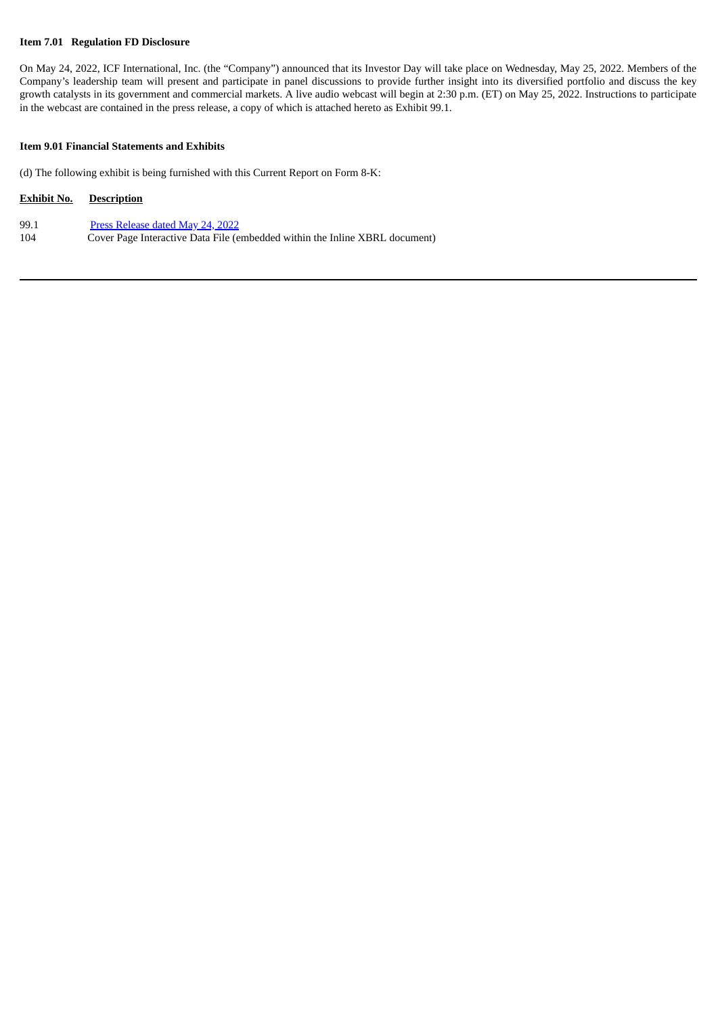## **Item 7.01 Regulation FD Disclosure**

On May 24, 2022, ICF International, Inc. (the "Company") announced that its Investor Day will take place on Wednesday, May 25, 2022. Members of the Company's leadership team will present and participate in panel discussions to provide further insight into its diversified portfolio and discuss the key growth catalysts in its government and commercial markets. A live audio webcast will begin at 2:30 p.m. (ET) on May 25, 2022. Instructions to participate in the webcast are contained in the press release, a copy of which is attached hereto as Exhibit 99.1.

## **Item 9.01 Financial Statements and Exhibits**

(d) The following exhibit is being furnished with this Current Report on Form 8-K:

## **Exhibit No. Description**

| 99.1 | Press Release dated May 24, 2022                                            |
|------|-----------------------------------------------------------------------------|
| 104  | Cover Page Interactive Data File (embedded within the Inline XBRL document) |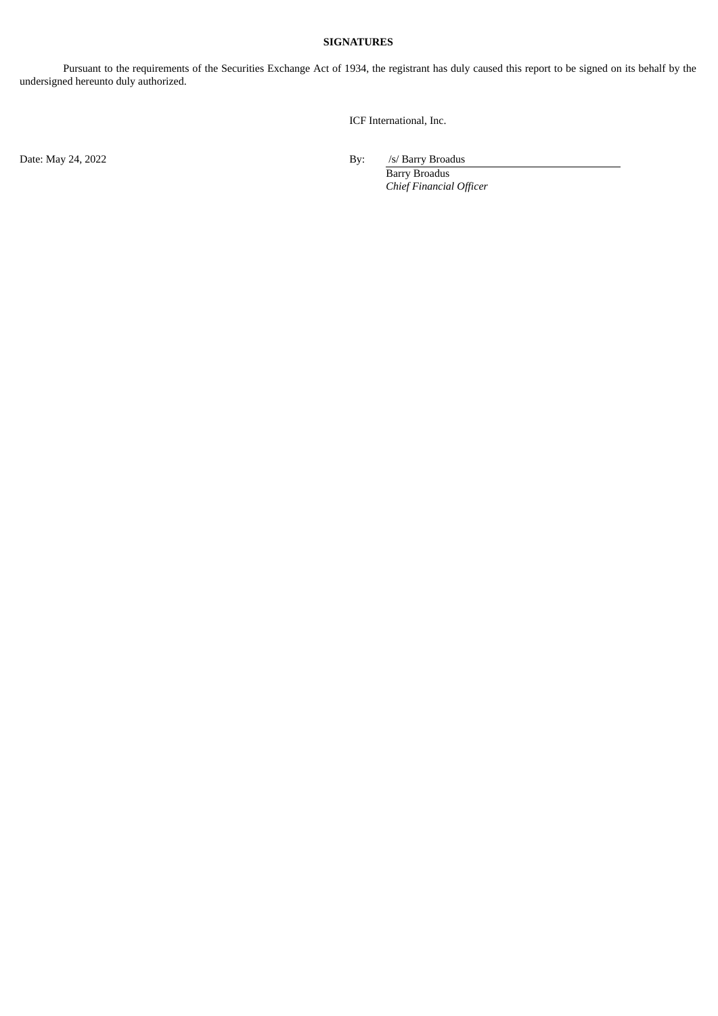## **SIGNATURES**

Pursuant to the requirements of the Securities Exchange Act of 1934, the registrant has duly caused this report to be signed on its behalf by the undersigned hereunto duly authorized.

ICF International, Inc.

Date: May 24, 2022 By: /s/ Barry Broadus

Barry Broadus *Chief Financial Officer*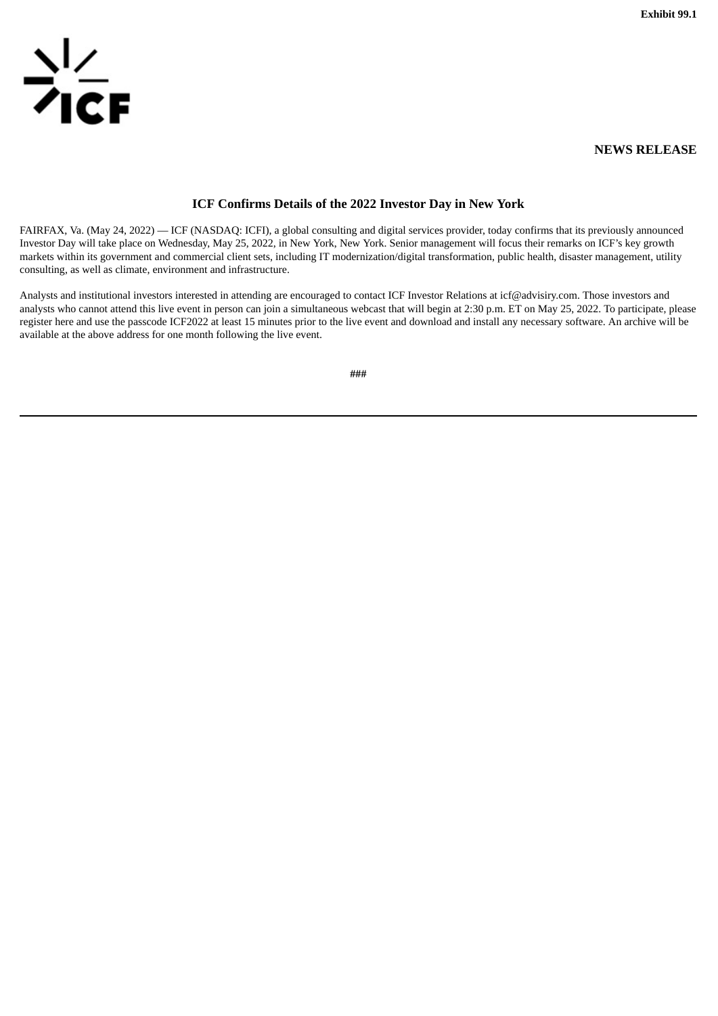**Exhibit 99.1**

<span id="page-3-0"></span>

## **NEWS RELEASE**

# **ICF Confirms Details of the 2022 Investor Day in New York**

FAIRFAX, Va. (May 24, 2022) — ICF (NASDAQ: ICFI), a global consulting and digital services provider, today confirms that its previously announced Investor Day will take place on Wednesday, May 25, 2022, in New York, New York. Senior management will focus their remarks on ICF's key growth markets within its government and commercial client sets, including IT modernization/digital transformation, public health, disaster management, utility consulting, as well as climate, environment and infrastructure.

Analysts and institutional investors interested in attending are encouraged to contact ICF Investor Relations at icf@advisiry.com. Those investors and analysts who cannot attend this live event in person can join a simultaneous webcast that will begin at 2:30 p.m. ET on May 25, 2022. To participate, please register here and use the passcode ICF2022 at least 15 minutes prior to the live event and download and install any necessary software. An archive will be available at the above address for one month following the live event.

**###**